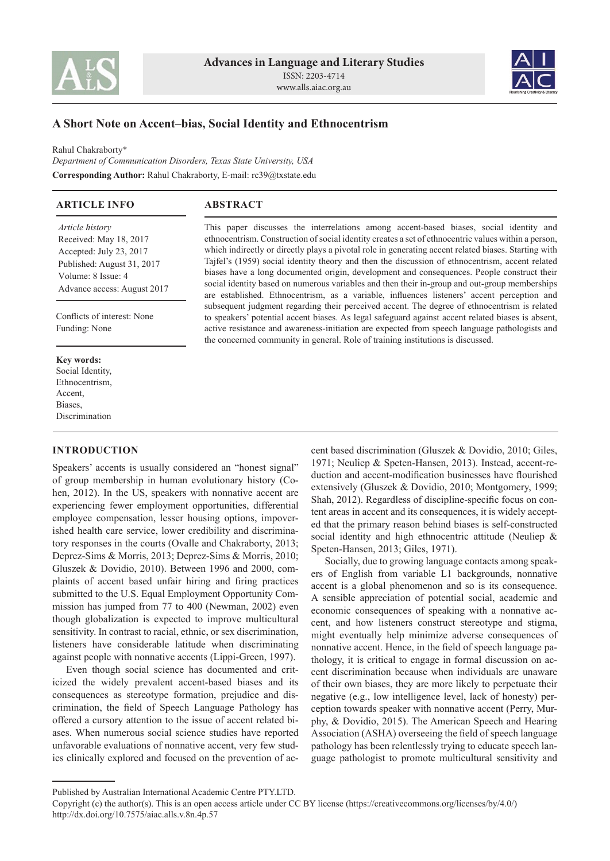



# **A Short Note on Accent–bias, Social Identity and Ethnocentrism**

Rahul Chakraborty\* *Department of Communication Disorders, Texas State University, USA* **Corresponding Author:** Rahul Chakraborty, E-mail: rc39@txstate.edu

| <b>ARTICLE INFO</b>                                                                                                                                            | <b>ABSTRACT</b>                                                                                                                                                                                                                                                                                                                                                                                                                                                                                                                                                                                                                                                                                        |
|----------------------------------------------------------------------------------------------------------------------------------------------------------------|--------------------------------------------------------------------------------------------------------------------------------------------------------------------------------------------------------------------------------------------------------------------------------------------------------------------------------------------------------------------------------------------------------------------------------------------------------------------------------------------------------------------------------------------------------------------------------------------------------------------------------------------------------------------------------------------------------|
| <i>Article history</i><br>Received: May 18, 2017<br>Accepted: July 23, 2017<br>Published: August 31, 2017<br>Volume: 8 Issue: 4<br>Advance access: August 2017 | This paper discusses the interrelations among accent-based biases, social identity and<br>ethnocentrism. Construction of social identity creates a set of ethnocentric values within a person,<br>which indirectly or directly plays a pivotal role in generating accent related biases. Starting with<br>Tajfel's (1959) social identity theory and then the discussion of ethnocentrism, accent related<br>biases have a long documented origin, development and consequences. People construct their<br>social identity based on numerous variables and then their in-group and out-group memberships<br>are established. Ethnocentrism, as a variable, influences listeners' accent perception and |
| Conflicts of interest: None<br>Funding: None                                                                                                                   | subsequent judgment regarding their perceived accent. The degree of ethnocentrism is related<br>to speakers' potential accent biases. As legal safeguard against accent related biases is absent,<br>active resistance and awareness-initiation are expected from speech language pathologists and<br>the concerned community in general. Role of training institutions is discussed.                                                                                                                                                                                                                                                                                                                  |
| Key words:<br>Social Identity,<br>Ethnocentrism.<br>Accent.<br>Biases.<br>Discrimination                                                                       |                                                                                                                                                                                                                                                                                                                                                                                                                                                                                                                                                                                                                                                                                                        |

## **INTRODUCTION**

Speakers' accents is usually considered an "honest signal" of group membership in human evolutionary history (Cohen, 2012). In the US, speakers with nonnative accent are experiencing fewer employment opportunities, differential employee compensation, lesser housing options, impoverished health care service, lower credibility and discriminatory responses in the courts (Ovalle and Chakraborty, 2013; Deprez-Sims & Morris, 2013; Deprez-Sims & Morris, 2010; Gluszek & Dovidio, 2010). Between 1996 and 2000, complaints of accent based unfair hiring and firing practices submitted to the U.S. Equal Employment Opportunity Commission has jumped from 77 to 400 (Newman, 2002) even though globalization is expected to improve multicultural sensitivity. In contrast to racial, ethnic, or sex discrimination, listeners have considerable latitude when discriminating against people with nonnative accents (Lippi-Green, 1997).

Even though social science has documented and criticized the widely prevalent accent-based biases and its consequences as stereotype formation, prejudice and discrimination, the field of Speech Language Pathology has offered a cursory attention to the issue of accent related biases. When numerous social science studies have reported unfavorable evaluations of nonnative accent, very few studies clinically explored and focused on the prevention of accent based discrimination (Gluszek & Dovidio, 2010; Giles, 1971; Neuliep & Speten-Hansen, 2013). Instead, accent-reduction and accent-modification businesses have flourished extensively (Gluszek & Dovidio, 2010; Montgomery, 1999; Shah, 2012). Regardless of discipline-specific focus on content areas in accent and its consequences, it is widely accepted that the primary reason behind biases is self-constructed social identity and high ethnocentric attitude (Neuliep & Speten-Hansen, 2013; Giles, 1971).

Socially, due to growing language contacts among speakers of English from variable L1 backgrounds, nonnative accent is a global phenomenon and so is its consequence. A sensible appreciation of potential social, academic and economic consequences of speaking with a nonnative accent, and how listeners construct stereotype and stigma, might eventually help minimize adverse consequences of nonnative accent. Hence, in the field of speech language pathology, it is critical to engage in formal discussion on accent discrimination because when individuals are unaware of their own biases, they are more likely to perpetuate their negative (e.g., low intelligence level, lack of honesty) perception towards speaker with nonnative accent (Perry, Murphy, & Dovidio, 2015). The American Speech and Hearing Association (ASHA) overseeing the field of speech language pathology has been relentlessly trying to educate speech language pathologist to promote multicultural sensitivity and

Published by Australian International Academic Centre PTY.LTD.

Copyright (c) the author(s). This is an open access article under CC BY license (https://creativecommons.org/licenses/by/4.0/) http://dx.doi.org/10.7575/aiac.alls.v.8n.4p.57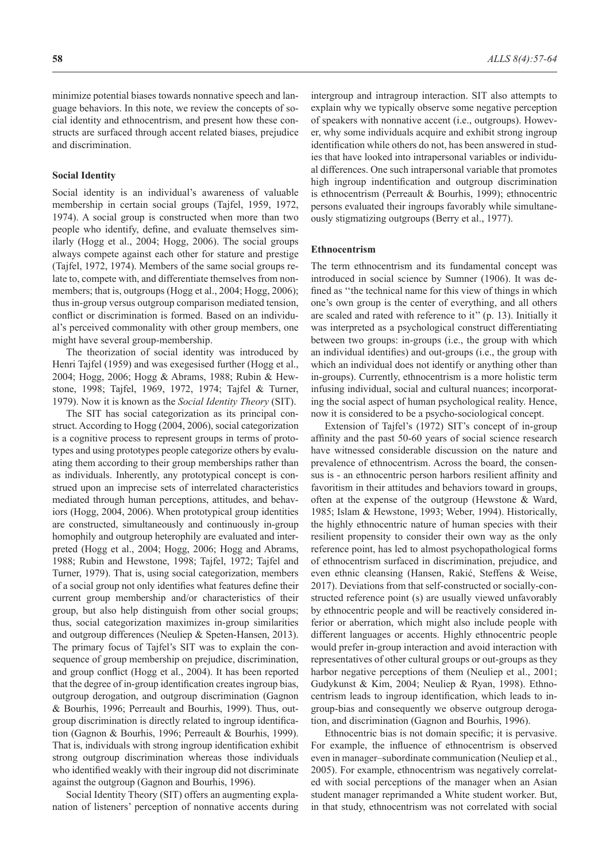minimize potential biases towards nonnative speech and language behaviors. In this note, we review the concepts of social identity and ethnocentrism, and present how these constructs are surfaced through accent related biases, prejudice and discrimination.

#### **Social Identity**

Social identity is an individual's awareness of valuable membership in certain social groups (Tajfel, 1959, 1972, 1974). A social group is constructed when more than two people who identify, define, and evaluate themselves similarly (Hogg et al., 2004; Hogg, 2006). The social groups always compete against each other for stature and prestige (Tajfel, 1972, 1974). Members of the same social groups relate to, compete with, and differentiate themselves from nonmembers; that is, outgroups (Hogg et al., 2004; Hogg, 2006); thus in-group versus outgroup comparison mediated tension, conflict or discrimination is formed. Based on an individual's perceived commonality with other group members, one might have several group-membership.

The theorization of social identity was introduced by Henri Tajfel (1959) and was exegesised further (Hogg et al., 2004; Hogg, 2006; Hogg & Abrams, 1988; Rubin & Hewstone, 1998; Tajfel, 1969, 1972, 1974; Tajfel & Turner, 1979). Now it is known as the *Social Identity Theory* (SIT).

The SIT has social categorization as its principal construct. According to Hogg (2004, 2006), social categorization is a cognitive process to represent groups in terms of prototypes and using prototypes people categorize others by evaluating them according to their group memberships rather than as individuals. Inherently, any prototypical concept is construed upon an imprecise sets of interrelated characteristics mediated through human perceptions, attitudes, and behaviors (Hogg, 2004, 2006). When prototypical group identities are constructed, simultaneously and continuously in-group homophily and outgroup heterophily are evaluated and interpreted (Hogg et al., 2004; Hogg, 2006; Hogg and Abrams, 1988; Rubin and Hewstone, 1998; Tajfel, 1972; Tajfel and Turner, 1979). That is, using social categorization, members of a social group not only identifies what features define their current group membership and/or characteristics of their group, but also help distinguish from other social groups; thus, social categorization maximizes in-group similarities and outgroup differences (Neuliep & Speten-Hansen, 2013). The primary focus of Tajfel's SIT was to explain the consequence of group membership on prejudice, discrimination, and group conflict (Hogg et al., 2004). It has been reported that the degree of in-group identification creates ingroup bias, outgroup derogation, and outgroup discrimination (Gagnon & Bourhis, 1996; Perreault and Bourhis, 1999). Thus, outgroup discrimination is directly related to ingroup identification (Gagnon & Bourhis, 1996; Perreault & Bourhis, 1999). That is, individuals with strong ingroup identification exhibit strong outgroup discrimination whereas those individuals who identified weakly with their ingroup did not discriminate against the outgroup (Gagnon and Bourhis, 1996).

Social Identity Theory (SIT) offers an augmenting explanation of listeners' perception of nonnative accents during intergroup and intragroup interaction. SIT also attempts to explain why we typically observe some negative perception of speakers with nonnative accent (i.e., outgroups). However, why some individuals acquire and exhibit strong ingroup identification while others do not, has been answered in studies that have looked into intrapersonal variables or individual differences. One such intrapersonal variable that promotes high ingroup indentification and outgroup discrimination is ethnocentrism (Perreault & Bourhis, 1999); ethnocentric persons evaluated their ingroups favorably while simultaneously stigmatizing outgroups (Berry et al., 1977).

### **Ethnocentrism**

The term ethnocentrism and its fundamental concept was introduced in social science by Sumner (1906). It was defined as ''the technical name for this view of things in which one's own group is the center of everything, and all others are scaled and rated with reference to it'' (p. 13). Initially it was interpreted as a psychological construct differentiating between two groups: in-groups (i.e., the group with which an individual identifies) and out-groups (i.e., the group with which an individual does not identify or anything other than in-groups). Currently, ethnocentrism is a more holistic term infusing individual, social and cultural nuances; incorporating the social aspect of human psychological reality. Hence, now it is considered to be a psycho-sociological concept.

Extension of Tajfel's (1972) SIT's concept of in-group affinity and the past 50-60 years of social science research have witnessed considerable discussion on the nature and prevalence of ethnocentrism. Across the board, the consensus is - an ethnocentric person harbors resilient affinity and favoritism in their attitudes and behaviors toward in groups, often at the expense of the outgroup (Hewstone & Ward, 1985; Islam & Hewstone, 1993; Weber, 1994). Historically, the highly ethnocentric nature of human species with their resilient propensity to consider their own way as the only reference point, has led to almost psychopathological forms of ethnocentrism surfaced in discrimination, prejudice, and even ethnic cleansing (Hansen, Rakić, Steffens & Weise, 2017). Deviations from that self-constructed or socially-constructed reference point (s) are usually viewed unfavorably by ethnocentric people and will be reactively considered inferior or aberration, which might also include people with different languages or accents. Highly ethnocentric people would prefer in-group interaction and avoid interaction with representatives of other cultural groups or out-groups as they harbor negative perceptions of them (Neuliep et al., 2001; Gudykunst & Kim, 2004; Neuliep & Ryan, 1998). Ethnocentrism leads to ingroup identification, which leads to ingroup-bias and consequently we observe outgroup derogation, and discrimination (Gagnon and Bourhis, 1996).

Ethnocentric bias is not domain specific; it is pervasive. For example, the influence of ethnocentrism is observed even in manager–subordinate communication (Neuliep et al., 2005). For example, ethnocentrism was negatively correlated with social perceptions of the manager when an Asian student manager reprimanded a White student worker. But, in that study, ethnocentrism was not correlated with social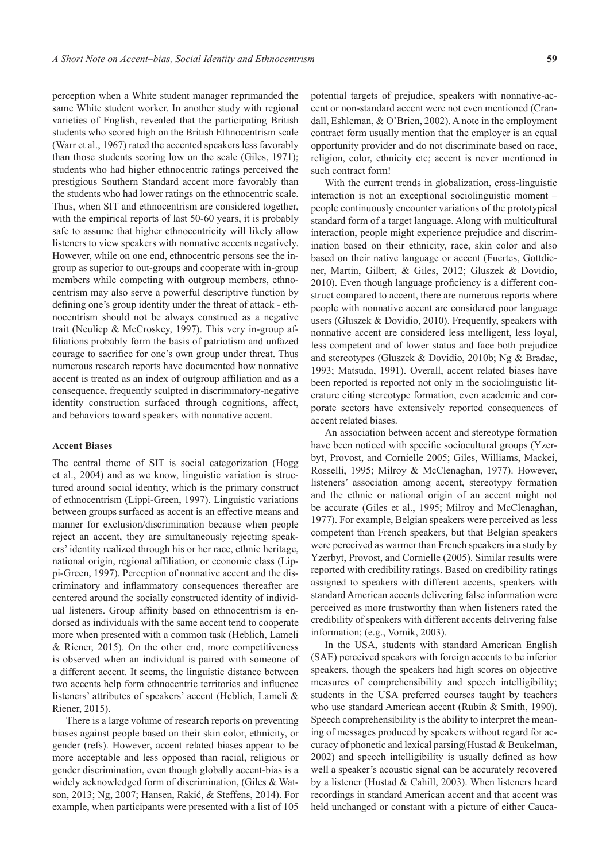perception when a White student manager reprimanded the same White student worker. In another study with regional varieties of English, revealed that the participating British students who scored high on the British Ethnocentrism scale (Warr et al., 1967) rated the accented speakers less favorably than those students scoring low on the scale (Giles, 1971); students who had higher ethnocentric ratings perceived the prestigious Southern Standard accent more favorably than the students who had lower ratings on the ethnocentric scale. Thus, when SIT and ethnocentrism are considered together, with the empirical reports of last 50-60 years, it is probably safe to assume that higher ethnocentricity will likely allow listeners to view speakers with nonnative accents negatively. However, while on one end, ethnocentric persons see the ingroup as superior to out-groups and cooperate with in-group members while competing with outgroup members, ethnocentrism may also serve a powerful descriptive function by defining one's group identity under the threat of attack - ethnocentrism should not be always construed as a negative trait (Neuliep & McCroskey, 1997). This very in-group affiliations probably form the basis of patriotism and unfazed courage to sacrifice for one's own group under threat. Thus numerous research reports have documented how nonnative accent is treated as an index of outgroup affiliation and as a consequence, frequently sculpted in discriminatory-negative identity construction surfaced through cognitions, affect, and behaviors toward speakers with nonnative accent.

#### **Accent Biases**

The central theme of SIT is social categorization (Hogg et al., 2004) and as we know, linguistic variation is structured around social identity, which is the primary construct of ethnocentrism (Lippi-Green, 1997). Linguistic variations between groups surfaced as accent is an effective means and manner for exclusion/discrimination because when people reject an accent, they are simultaneously rejecting speakers' identity realized through his or her race, ethnic heritage, national origin, regional affiliation, or economic class (Lippi-Green, 1997). Perception of nonnative accent and the discriminatory and inflammatory consequences thereafter are centered around the socially constructed identity of individual listeners. Group affinity based on ethnocentrism is endorsed as individuals with the same accent tend to cooperate more when presented with a common task (Heblich, Lameli & Riener, 2015). On the other end, more competitiveness is observed when an individual is paired with someone of a different accent. It seems, the linguistic distance between two accents help form ethnocentric territories and influence listeners' attributes of speakers' accent (Heblich, Lameli & Riener, 2015).

There is a large volume of research reports on preventing biases against people based on their skin color, ethnicity, or gender (refs). However, accent related biases appear to be more acceptable and less opposed than racial, religious or gender discrimination, even though globally accent-bias is a widely acknowledged form of discrimination, (Giles & Watson, 2013; Ng, 2007; Hansen, Rakić, & Steffens, 2014). For example, when participants were presented with a list of 105

potential targets of prejudice, speakers with nonnative-accent or non-standard accent were not even mentioned (Crandall, Eshleman, & O'Brien, 2002). A note in the employment contract form usually mention that the employer is an equal opportunity provider and do not discriminate based on race, religion, color, ethnicity etc; accent is never mentioned in such contract form!

With the current trends in globalization, cross-linguistic interaction is not an exceptional sociolinguistic moment – people continuously encounter variations of the prototypical standard form of a target language. Along with multicultural interaction, people might experience prejudice and discrimination based on their ethnicity, race, skin color and also based on their native language or accent (Fuertes, Gottdiener, Martin, Gilbert, & Giles, 2012; Gluszek & Dovidio, 2010). Even though language proficiency is a different construct compared to accent, there are numerous reports where people with nonnative accent are considered poor language users (Gluszek & Dovidio, 2010). Frequently, speakers with nonnative accent are considered less intelligent, less loyal, less competent and of lower status and face both prejudice and stereotypes (Gluszek & Dovidio, 2010b; Ng & Bradac, 1993; Matsuda, 1991). Overall, accent related biases have been reported is reported not only in the sociolinguistic literature citing stereotype formation, even academic and corporate sectors have extensively reported consequences of accent related biases.

An association between accent and stereotype formation have been noticed with specific sociocultural groups (Yzerbyt, Provost, and Cornielle 2005; Giles, Williams, Mackei, Rosselli, 1995; Milroy & McClenaghan, 1977). However, listeners' association among accent, stereotypy formation and the ethnic or national origin of an accent might not be accurate (Giles et al., 1995; Milroy and McClenaghan, 1977). For example, Belgian speakers were perceived as less competent than French speakers, but that Belgian speakers were perceived as warmer than French speakers in a study by Yzerbyt, Provost, and Cornielle (2005). Similar results were reported with credibility ratings. Based on credibility ratings assigned to speakers with different accents, speakers with standard American accents delivering false information were perceived as more trustworthy than when listeners rated the credibility of speakers with different accents delivering false information; (e.g., Vornik, 2003).

In the USA, students with standard American English (SAE) perceived speakers with foreign accents to be inferior speakers, though the speakers had high scores on objective measures of comprehensibility and speech intelligibility; students in the USA preferred courses taught by teachers who use standard American accent (Rubin & Smith, 1990). Speech comprehensibility is the ability to interpret the meaning of messages produced by speakers without regard for accuracy of phonetic and lexical parsing(Hustad & Beukelman, 2002) and speech intelligibility is usually defined as how well a speaker's acoustic signal can be accurately recovered by a listener (Hustad & Cahill, 2003). When listeners heard recordings in standard American accent and that accent was held unchanged or constant with a picture of either Cauca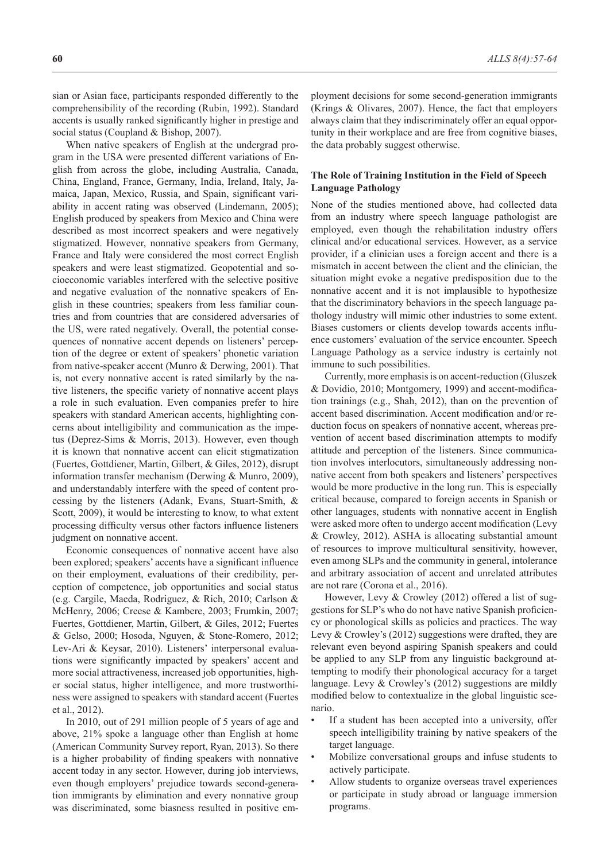sian or Asian face, participants responded differently to the comprehensibility of the recording (Rubin, 1992). Standard accents is usually ranked significantly higher in prestige and social status (Coupland & Bishop, 2007).

When native speakers of English at the undergrad program in the USA were presented different variations of English from across the globe, including Australia, Canada, China, England, France, Germany, India, Ireland, Italy, Jamaica, Japan, Mexico, Russia, and Spain, significant variability in accent rating was observed (Lindemann, 2005); English produced by speakers from Mexico and China were described as most incorrect speakers and were negatively stigmatized. However, nonnative speakers from Germany, France and Italy were considered the most correct English speakers and were least stigmatized. Geopotential and socioeconomic variables interfered with the selective positive and negative evaluation of the nonnative speakers of English in these countries; speakers from less familiar countries and from countries that are considered adversaries of the US, were rated negatively. Overall, the potential consequences of nonnative accent depends on listeners' perception of the degree or extent of speakers' phonetic variation from native-speaker accent (Munro & Derwing, 2001). That is, not every nonnative accent is rated similarly by the native listeners, the specific variety of nonnative accent plays a role in such evaluation. Even companies prefer to hire speakers with standard American accents, highlighting concerns about intelligibility and communication as the impetus (Deprez-Sims & Morris, 2013). However, even though it is known that nonnative accent can elicit stigmatization (Fuertes, Gottdiener, Martin, Gilbert, & Giles, 2012), disrupt information transfer mechanism (Derwing & Munro, 2009), and understandably interfere with the speed of content processing by the listeners (Adank, Evans, Stuart-Smith, & Scott, 2009), it would be interesting to know, to what extent processing difficulty versus other factors influence listeners judgment on nonnative accent.

Economic consequences of nonnative accent have also been explored; speakers' accents have a significant influence on their employment, evaluations of their credibility, perception of competence, job opportunities and social status (e.g. Cargile, Maeda, Rodriguez, & Rich, 2010; Carlson & McHenry, 2006; Creese & Kambere, 2003; Frumkin, 2007; Fuertes, Gottdiener, Martin, Gilbert, & Giles, 2012; Fuertes & Gelso, 2000; Hosoda, Nguyen, & Stone-Romero, 2012; Lev-Ari & Keysar, 2010). Listeners' interpersonal evaluations were significantly impacted by speakers' accent and more social attractiveness, increased job opportunities, higher social status, higher intelligence, and more trustworthiness were assigned to speakers with standard accent (Fuertes et al., 2012).

In 2010, out of 291 million people of 5 years of age and above, 21% spoke a language other than English at home (American Community Survey report, Ryan, 2013). So there is a higher probability of finding speakers with nonnative accent today in any sector. However, during job interviews, even though employers' prejudice towards second-generation immigrants by elimination and every nonnative group was discriminated, some biasness resulted in positive employment decisions for some second-generation immigrants (Krings & Olivares, 2007). Hence, the fact that employers always claim that they indiscriminately offer an equal opportunity in their workplace and are free from cognitive biases, the data probably suggest otherwise.

### **The Role of Training Institution in the Field of Speech Language Pathology**

None of the studies mentioned above, had collected data from an industry where speech language pathologist are employed, even though the rehabilitation industry offers clinical and/or educational services. However, as a service provider, if a clinician uses a foreign accent and there is a mismatch in accent between the client and the clinician, the situation might evoke a negative predisposition due to the nonnative accent and it is not implausible to hypothesize that the discriminatory behaviors in the speech language pathology industry will mimic other industries to some extent. Biases customers or clients develop towards accents influence customers' evaluation of the service encounter. Speech Language Pathology as a service industry is certainly not immune to such possibilities.

Currently, more emphasis is on accent-reduction (Gluszek & Dovidio, 2010; Montgomery, 1999) and accent-modification trainings (e.g., Shah, 2012), than on the prevention of accent based discrimination. Accent modification and/or reduction focus on speakers of nonnative accent, whereas prevention of accent based discrimination attempts to modify attitude and perception of the listeners. Since communication involves interlocutors, simultaneously addressing nonnative accent from both speakers and listeners' perspectives would be more productive in the long run. This is especially critical because, compared to foreign accents in Spanish or other languages, students with nonnative accent in English were asked more often to undergo accent modification (Levy & Crowley, 2012). ASHA is allocating substantial amount of resources to improve multicultural sensitivity, however, even among SLPs and the community in general, intolerance and arbitrary association of accent and unrelated attributes are not rare (Corona et al., 2016).

However, Levy & Crowley (2012) offered a list of suggestions for SLP's who do not have native Spanish proficiency or phonological skills as policies and practices. The way Levy & Crowley's (2012) suggestions were drafted, they are relevant even beyond aspiring Spanish speakers and could be applied to any SLP from any linguistic background attempting to modify their phonological accuracy for a target language. Levy & Crowley's (2012) suggestions are mildly modified below to contextualize in the global linguistic scenario.

- If a student has been accepted into a university, offer speech intelligibility training by native speakers of the target language.
- Mobilize conversational groups and infuse students to actively participate.
- Allow students to organize overseas travel experiences or participate in study abroad or language immersion programs.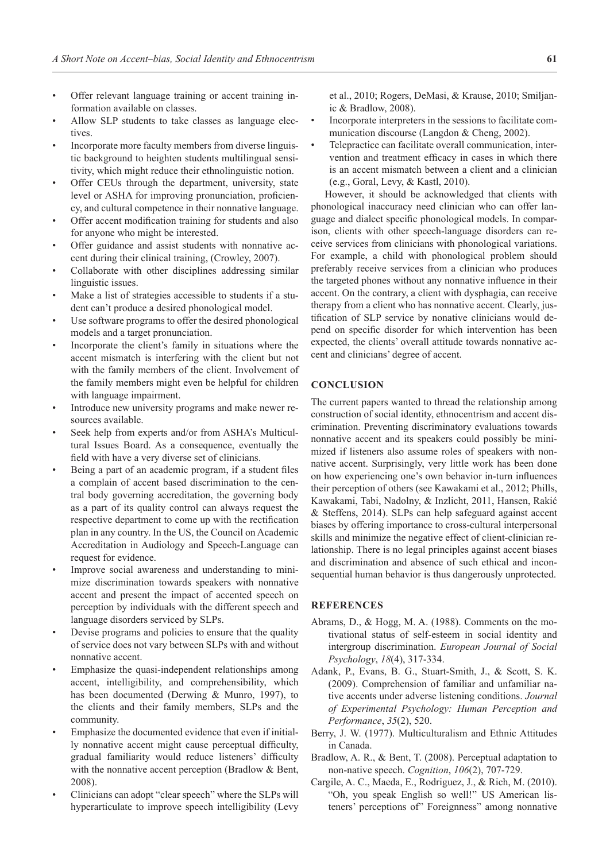- Offer relevant language training or accent training information available on classes.
- Allow SLP students to take classes as language electives.
- Incorporate more faculty members from diverse linguistic background to heighten students multilingual sensitivity, which might reduce their ethnolinguistic notion.
- Offer CEUs through the department, university, state level or ASHA for improving pronunciation, proficiency, and cultural competence in their nonnative language.
- Offer accent modification training for students and also for anyone who might be interested.
- Offer guidance and assist students with nonnative accent during their clinical training, (Crowley, 2007).
- Collaborate with other disciplines addressing similar linguistic issues.
- Make a list of strategies accessible to students if a student can't produce a desired phonological model.
- Use software programs to offer the desired phonological models and a target pronunciation.
- Incorporate the client's family in situations where the accent mismatch is interfering with the client but not with the family members of the client. Involvement of the family members might even be helpful for children with language impairment.
- Introduce new university programs and make newer resources available.
- Seek help from experts and/or from ASHA's Multicultural Issues Board. As a consequence, eventually the field with have a very diverse set of clinicians.
- Being a part of an academic program, if a student files a complain of accent based discrimination to the central body governing accreditation, the governing body as a part of its quality control can always request the respective department to come up with the rectification plan in any country. In the US, the Council on Academic Accreditation in Audiology and Speech-Language can request for evidence.
- Improve social awareness and understanding to minimize discrimination towards speakers with nonnative accent and present the impact of accented speech on perception by individuals with the different speech and language disorders serviced by SLPs.
- Devise programs and policies to ensure that the quality of service does not vary between SLPs with and without nonnative accent.
- Emphasize the quasi-independent relationships among accent, intelligibility, and comprehensibility, which has been documented (Derwing & Munro, 1997), to the clients and their family members, SLPs and the community.
- Emphasize the documented evidence that even if initially nonnative accent might cause perceptual difficulty, gradual familiarity would reduce listeners' difficulty with the nonnative accent perception (Bradlow & Bent, 2008).
- Clinicians can adopt "clear speech" where the SLPs will hyperarticulate to improve speech intelligibility (Levy

et al., 2010; Rogers, DeMasi, & Krause, 2010; Smiljanic & Bradlow, 2008).

- Incorporate interpreters in the sessions to facilitate communication discourse (Langdon & Cheng, 2002).
- Telepractice can facilitate overall communication, intervention and treatment efficacy in cases in which there is an accent mismatch between a client and a clinician (e.g., Goral, Levy, & Kastl, 2010).

However, it should be acknowledged that clients with phonological inaccuracy need clinician who can offer language and dialect specific phonological models. In comparison, clients with other speech-language disorders can receive services from clinicians with phonological variations. For example, a child with phonological problem should preferably receive services from a clinician who produces the targeted phones without any nonnative influence in their accent. On the contrary, a client with dysphagia, can receive therapy from a client who has nonnative accent. Clearly, justification of SLP service by nonative clinicians would depend on specific disorder for which intervention has been expected, the clients' overall attitude towards nonnative accent and clinicians' degree of accent.

# **CONCLUSION**

The current papers wanted to thread the relationship among construction of social identity, ethnocentrism and accent discrimination. Preventing discriminatory evaluations towards nonnative accent and its speakers could possibly be minimized if listeners also assume roles of speakers with nonnative accent. Surprisingly, very little work has been done on how experiencing one's own behavior in-turn influences their perception of others (see Kawakami et al., 2012; Phills, Kawakami, Tabi, Nadolny, & Inzlicht, 2011, Hansen, Rakić & Steffens, 2014). SLPs can help safeguard against accent biases by offering importance to cross-cultural interpersonal skills and minimize the negative effect of client-clinician relationship. There is no legal principles against accent biases and discrimination and absence of such ethical and inconsequential human behavior is thus dangerously unprotected.

### **REFERENCES**

- Abrams, D., & Hogg, M. A. (1988). Comments on the motivational status of self-esteem in social identity and intergroup discrimination. *European Journal of Social Psychology*, *18*(4), 317-334.
- Adank, P., Evans, B. G., Stuart-Smith, J., & Scott, S. K. (2009). Comprehension of familiar and unfamiliar native accents under adverse listening conditions. *Journal of Experimental Psychology: Human Perception and Performance*, *35*(2), 520.
- Berry, J. W. (1977). Multiculturalism and Ethnic Attitudes in Canada.
- Bradlow, A. R., & Bent, T. (2008). Perceptual adaptation to non-native speech. *Cognition*, *106*(2), 707-729.
- Cargile, A. C., Maeda, E., Rodriguez, J., & Rich, M. (2010). "Oh, you speak English so well!" US American listeners' perceptions of" Foreignness" among nonnative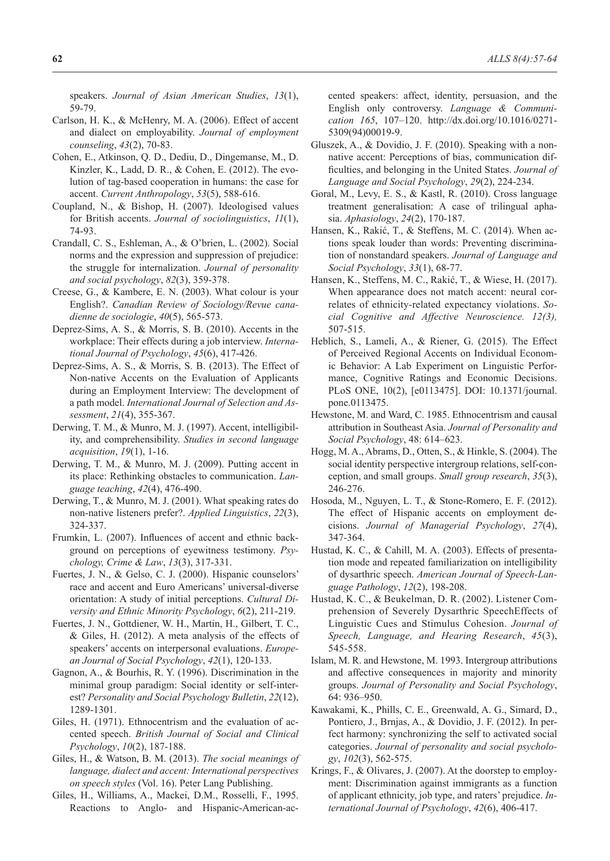speakers. *Journal of Asian American Studies*, *13*(1), 59-79.

- Carlson, H. K., & McHenry, M. A. (2006). Effect of accent and dialect on employability. *Journal of employment counseling*, *43*(2), 70-83.
- Cohen, E., Atkinson, Q. D., Dediu, D., Dingemanse, M., D. Kinzler, K., Ladd, D. R., & Cohen, E. (2012). The evolution of tag-based cooperation in humans: the case for accent. *Current Anthropology*, *53*(5), 588-616.
- Coupland, N., & Bishop, H. (2007). Ideologised values for British accents. *Journal of sociolinguistics*, *11*(1), 74-93.
- Crandall, C. S., Eshleman, A., & O'brien, L. (2002). Social norms and the expression and suppression of prejudice: the struggle for internalization. *Journal of personality and social psychology*, *82*(3), 359-378.
- Creese, G., & Kambere, E. N. (2003). What colour is your English?. *Canadian Review of Sociology/Revue canadienne de sociologie*, *40*(5), 565-573.
- Deprez-Sims, A. S., & Morris, S. B. (2010). Accents in the workplace: Their effects during a job interview. *International Journal of Psychology*, *45*(6), 417-426.
- Deprez-Sims, A. S., & Morris, S. B. (2013). The Effect of Non-native Accents on the Evaluation of Applicants during an Employment Interview: The development of a path model. *International Journal of Selection and Assessment*, *21*(4), 355-367.
- Derwing, T. M., & Munro, M. J. (1997). Accent, intelligibility, and comprehensibility. *Studies in second language acquisition*, *19*(1), 1-16.
- Derwing, T. M., & Munro, M. J. (2009). Putting accent in its place: Rethinking obstacles to communication. *Language teaching*, *42*(4), 476-490.
- Derwing, T., & Munro, M. J. (2001). What speaking rates do non-native listeners prefer?. *Applied Linguistics*, *22*(3), 324-337.
- Frumkin, L. (2007). Influences of accent and ethnic background on perceptions of eyewitness testimony. *Psychology, Crime & Law*, *13*(3), 317-331.
- Fuertes, J. N., & Gelso, C. J. (2000). Hispanic counselors' race and accent and Euro Americans' universal-diverse orientation: A study of initial perceptions. *Cultural Diversity and Ethnic Minority Psychology*, *6*(2), 211-219.
- Fuertes, J. N., Gottdiener, W. H., Martin, H., Gilbert, T. C., & Giles, H. (2012). A meta analysis of the effects of speakers' accents on interpersonal evaluations. *European Journal of Social Psychology*, *42*(1), 120-133.
- Gagnon, A., & Bourhis, R. Y. (1996). Discrimination in the minimal group paradigm: Social identity or self-interest? *Personality and Social Psychology Bulletin*, *22*(12), 1289-1301.
- Giles, H. (1971). Ethnocentrism and the evaluation of accented speech. *British Journal of Social and Clinical Psychology*, *10*(2), 187-188.
- Giles, H., & Watson, B. M. (2013). *The social meanings of language, dialect and accent: International perspectives on speech styles* (Vol. 16). Peter Lang Publishing.
- Giles, H., Williams, A., Mackei, D.M., Rosselli, F., 1995. Reactions to Anglo- and Hispanic-American-ac-

cented speakers: affect, identity, persuasion, and the English only controversy. *Language & Communication 165*, 107–120. http://dx.doi.org/10.1016/0271- 5309(94)00019-9.

- Gluszek, A., & Dovidio, J. F. (2010). Speaking with a nonnative accent: Perceptions of bias, communication difficulties, and belonging in the United States. *Journal of Language and Social Psychology*, *29*(2), 224-234.
- Goral, M., Levy, E. S., & Kastl, R. (2010). Cross language treatment generalisation: A case of trilingual aphasia. *Aphasiology*, *24*(2), 170-187.
- Hansen, K., Rakić, T., & Steffens, M. C. (2014). When actions speak louder than words: Preventing discrimination of nonstandard speakers. *Journal of Language and Social Psychology*, *33*(1), 68-77.
- Hansen, K., Steffens, M. C., Rakić, T., & Wiese, H. (2017). When appearance does not match accent: neural correlates of ethnicity-related expectancy violations. *Social Cognitive and Affective Neuroscience. 12(3),* 507-515.
- Heblich, S., Lameli, A., & Riener, G. (2015). The Effect of Perceived Regional Accents on Individual Economic Behavior: A Lab Experiment on Linguistic Performance, Cognitive Ratings and Economic Decisions. PLoS ONE, 10(2), [e0113475]. DOI: 10.1371/journal. pone.0113475.
- Hewstone, M. and Ward, C. 1985. Ethnocentrism and causal attribution in Southeast Asia. *Journal of Personality and Social Psychology*, 48: 614–623.
- Hogg, M. A., Abrams, D., Otten, S., & Hinkle, S. (2004). The social identity perspective intergroup relations, self-conception, and small groups. *Small group research*, *35*(3), 246-276.
- Hosoda, M., Nguyen, L. T., & Stone-Romero, E. F. (2012). The effect of Hispanic accents on employment decisions. *Journal of Managerial Psychology*, *27*(4), 347-364.
- Hustad, K. C., & Cahill, M. A. (2003). Effects of presentation mode and repeated familiarization on intelligibility of dysarthric speech. *American Journal of Speech-Language Pathology*, *12*(2), 198-208.
- Hustad, K. C., & Beukelman, D. R. (2002). Listener Comprehension of Severely Dysarthric SpeechEffects of Linguistic Cues and Stimulus Cohesion. *Journal of Speech, Language, and Hearing Research*, *45*(3), 545-558.
- Islam, M. R. and Hewstone, M. 1993. Intergroup attributions and affective consequences in majority and minority groups. *Journal of Personality and Social Psychology*, 64: 936–950.
- Kawakami, K., Phills, C. E., Greenwald, A. G., Simard, D., Pontiero, J., Brnjas, A., & Dovidio, J. F. (2012). In perfect harmony: synchronizing the self to activated social categories. *Journal of personality and social psychology*, *102*(3), 562-575.
- Krings, F., & Olivares, J. (2007). At the doorstep to employment: Discrimination against immigrants as a function of applicant ethnicity, job type, and raters' prejudice. *International Journal of Psychology*, *42*(6), 406-417.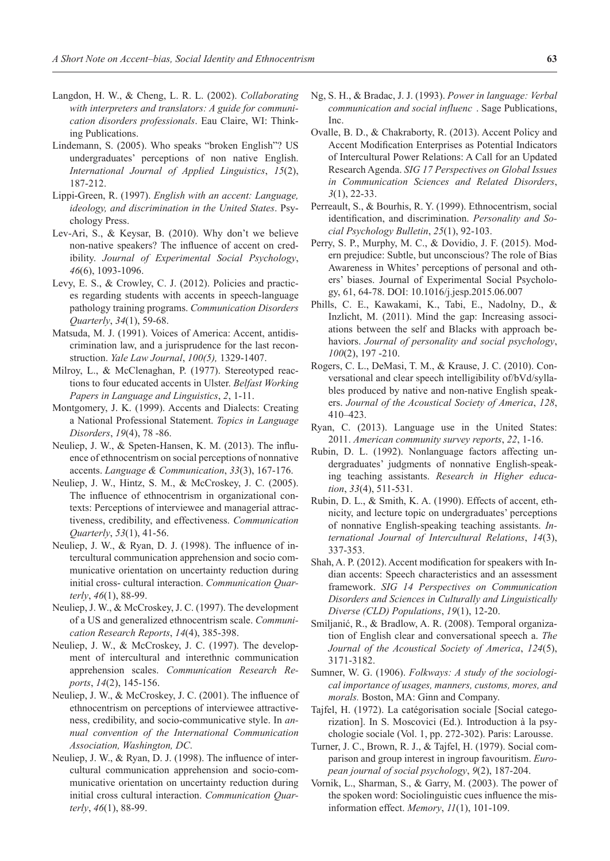- Langdon, H. W., & Cheng, L. R. L. (2002). *Collaborating with interpreters and translators: A guide for communication disorders professionals*. Eau Claire, WI: Thinking Publications.
- Lindemann, S. (2005). Who speaks "broken English"? US undergraduates' perceptions of non native English. *International Journal of Applied Linguistics*, *15*(2), 187-212.
- Lippi-Green, R. (1997). *English with an accent: Language, ideology, and discrimination in the United States*. Psychology Press.
- Lev-Ari, S., & Keysar, B. (2010). Why don't we believe non-native speakers? The influence of accent on credibility. *Journal of Experimental Social Psychology*, *46*(6), 1093-1096.
- Levy, E. S., & Crowley, C. J. (2012). Policies and practices regarding students with accents in speech-language pathology training programs. *Communication Disorders Quarterly*, *34*(1), 59-68.
- Matsuda, M. J. (1991). Voices of America: Accent, antidiscrimination law, and a jurisprudence for the last reconstruction. *Yale Law Journal*, *100(5),* 1329-1407.
- Milroy, L., & McClenaghan, P. (1977). Stereotyped reactions to four educated accents in Ulster. *Belfast Working Papers in Language and Linguistics*, *2*, 1-11.
- Montgomery, J. K. (1999). Accents and Dialects: Creating a National Professional Statement. *Topics in Language Disorders*, *19*(4), 78 -86.
- Neuliep, J. W., & Speten-Hansen, K. M. (2013). The influence of ethnocentrism on social perceptions of nonnative accents. *Language & Communication*, *33*(3), 167-176.
- Neuliep, J. W., Hintz, S. M., & McCroskey, J. C. (2005). The influence of ethnocentrism in organizational contexts: Perceptions of interviewee and managerial attractiveness, credibility, and effectiveness. *Communication Quarterly*, *53*(1), 41-56.
- Neuliep, J. W., & Ryan, D. J. (1998). The influence of intercultural communication apprehension and socio communicative orientation on uncertainty reduction during initial cross- cultural interaction. *Communication Quarterly*, *46*(1), 88-99.
- Neuliep, J. W., & McCroskey, J. C. (1997). The development of a US and generalized ethnocentrism scale. *Communication Research Reports*, *14*(4), 385-398.
- Neuliep, J. W., & McCroskey, J. C. (1997). The development of intercultural and interethnic communication apprehension scales. *Communication Research Reports*, *14*(2), 145-156.
- Neuliep, J. W., & McCroskey, J. C. (2001). The influence of ethnocentrism on perceptions of interviewee attractiveness, credibility, and socio-communicative style. In *annual convention of the International Communication Association, Washington, DC*.
- Neuliep, J. W., & Ryan, D. J. (1998). The influence of intercultural communication apprehension and socio-communicative orientation on uncertainty reduction during initial cross cultural interaction. *Communication Quarterly*, *46*(1), 88-99.
- Ng, S. H., & Bradac, J. J. (1993). *Power in language: Verbal communication and social influenc* . Sage Publications, Inc.
- Ovalle, B. D., & Chakraborty, R. (2013). Accent Policy and Accent Modification Enterprises as Potential Indicators of Intercultural Power Relations: A Call for an Updated Research Agenda. *SIG 17 Perspectives on Global Issues in Communication Sciences and Related Disorders*, *3*(1), 22-33.
- Perreault, S., & Bourhis, R. Y. (1999). Ethnocentrism, social identification, and discrimination. *Personality and Social Psychology Bulletin*, *25*(1), 92-103.
- Perry, S. P., Murphy, M. C., & Dovidio, J. F. (2015). Modern prejudice: Subtle, but unconscious? The role of Bias Awareness in Whites' perceptions of personal and others' biases. Journal of Experimental Social Psychology, 61, 64-78. DOI: 10.1016/j.jesp.2015.06.007
- Phills, C. E., Kawakami, K., Tabi, E., Nadolny, D., & Inzlicht, M. (2011). Mind the gap: Increasing associations between the self and Blacks with approach behaviors. *Journal of personality and social psychology*, *100*(2), 197 -210.
- Rogers, C. L., DeMasi, T. M., & Krause, J. C. (2010). Conversational and clear speech intelligibility of/bVd/syllables produced by native and non-native English speakers. *Journal of the Acoustical Society of America*, *128*, 410–423.
- Ryan, C. (2013). Language use in the United States: 2011. *American community survey reports*, *22*, 1-16.
- Rubin, D. L. (1992). Nonlanguage factors affecting undergraduates' judgments of nonnative English-speaking teaching assistants. *Research in Higher education*, *33*(4), 511-531.
- Rubin, D. L., & Smith, K. A. (1990). Effects of accent, ethnicity, and lecture topic on undergraduates' perceptions of nonnative English-speaking teaching assistants. *International Journal of Intercultural Relations*, *14*(3), 337-353.
- Shah, A. P. (2012). Accent modification for speakers with Indian accents: Speech characteristics and an assessment framework. *SIG 14 Perspectives on Communication Disorders and Sciences in Culturally and Linguistically Diverse (CLD) Populations*, *19*(1), 12-20.
- Smiljanić, R., & Bradlow, A. R. (2008). Temporal organization of English clear and conversational speech a. *The Journal of the Acoustical Society of America*, *124*(5), 3171-3182.
- Sumner, W. G. (1906). *Folkways: A study of the sociological importance of usages, manners, customs, mores, and morals.* Boston, MA: Ginn and Company.
- Tajfel, H. (1972). La catégorisation sociale [Social categorization]. In S. Moscovici (Ed.). Introduction à la psychologie sociale (Vol. 1, pp. 272-302). Paris: Larousse.
- Turner, J. C., Brown, R. J., & Tajfel, H. (1979). Social comparison and group interest in ingroup favouritism. *European journal of social psychology*, *9*(2), 187-204.
- Vornik, L., Sharman, S., & Garry, M. (2003). The power of the spoken word: Sociolinguistic cues influence the misinformation effect. *Memory*, *11*(1), 101-109.